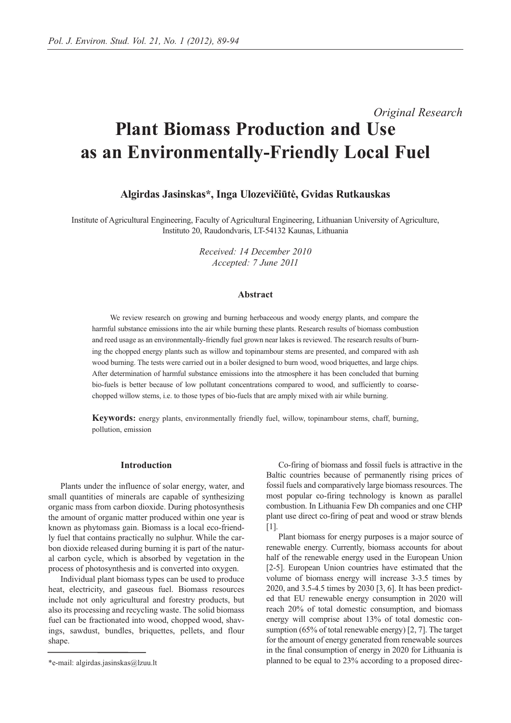# *Original Research* **Plant Biomass Production and Use as an Environmentally-Friendly Local Fuel**

# **Algirdas Jasinskas\*, Inga Ulozevičiūtė, Gvidas Rutkauskas**

Institute of Agricultural Engineering, Faculty of Agricultural Engineering, Lithuanian University of Agriculture, Instituto 20, Raudondvaris, LT-54132 Kaunas, Lithuania

> *Received: 14 December 2010 Accepted: 7 June 2011*

## **Abstract**

We review research on growing and burning herbaceous and woody energy plants, and compare the harmful substance emissions into the air while burning these plants. Research results of biomass combustion and reed usage as an environmentally-friendly fuel grown near lakes is reviewed. The research results of burning the chopped energy plants such as willow and topinambour stems are presented, and compared with ash wood burning. The tests were carried out in a boiler designed to burn wood, wood briquettes, and large chips. After determination of harmful substance emissions into the atmosphere it has been concluded that burning bio-fuels is better because of low pollutant concentrations compared to wood, and sufficiently to coarsechopped willow stems, i.e. to those types of bio-fuels that are amply mixed with air while burning.

**Keywords:** energy plants, environmentally friendly fuel, willow, topinambour stems, chaff, burning, pollution, emission

### **Introduction**

Plants under the influence of solar energy, water, and small quantities of minerals are capable of synthesizing organic mass from carbon dioxide. During photosynthesis the amount of organic matter produced within one year is known as phytomass gain. Biomass is a local eco-friendly fuel that contains practically no sulphur. While the carbon dioxide released during burning it is part of the natural carbon cycle, which is absorbed by vegetation in the process of photosynthesis and is converted into oxygen.

Individual plant biomass types can be used to produce heat, electricity, and gaseous fuel. Biomass resources include not only agricultural and forestry products, but also its processing and recycling waste. The solid biomass fuel can be fractionated into wood, chopped wood, shavings, sawdust, bundles, briquettes, pellets, and flour shape.

Co-firing of biomass and fossil fuels is attractive in the Baltic countries because of permanently rising prices of fossil fuels and comparatively large biomass resources. The most popular co-firing technology is known as parallel combustion. In Lithuania Few Dh companies and one CHP plant use direct co-firing of peat and wood or straw blends [1].

Plant biomass for energy purposes is a major source of renewable energy. Currently, biomass accounts for about half of the renewable energy used in the European Union [2-5]. European Union countries have estimated that the volume of biomass energy will increase 3-3.5 times by 2020, and 3.5-4.5 times by 2030 [3, 6]. It has been predicted that EU renewable energy consumption in 2020 will reach 20% of total domestic consumption, and biomass energy will comprise about 13% of total domestic consumption (65% of total renewable energy) [2, 7]. The target for the amount of energy generated from renewable sources in the final consumption of energy in 2020 for Lithuania is planned to be equal to 23% according to a proposed direc-

<sup>\*</sup>e-mail: algirdas.jasinskas@lzuu.lt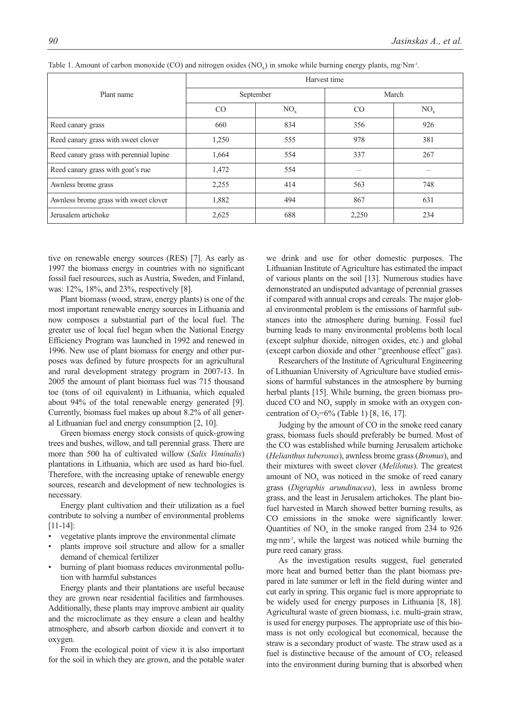|                                         | Harvest time |          |       |          |  |
|-----------------------------------------|--------------|----------|-------|----------|--|
| Plant name                              | September    |          | March |          |  |
|                                         | CO           | $NO_{x}$ | CO    | $NO_{x}$ |  |
| Reed canary grass                       | 660          | 834      | 356   | 926      |  |
| Reed canary grass with sweet clover     | 1,250        | 555      | 978   | 381      |  |
| Reed canary grass with perennial lupine | 1,664        | 554      | 337   | 267      |  |
| Reed canary grass with goat's rue       | 1,472        | 554      |       |          |  |
| Awnless brome grass                     | 2,255        | 414      | 563   | 748      |  |
| Awnless brome grass with sweet clover   | 1,882        | 494      | 867   | 631      |  |
| Jerusalem artichoke                     | 2,625        | 688      | 2,250 | 234      |  |

Table 1. Amount of carbon monoxide (CO) and nitrogen oxides  $(NO<sub>x</sub>)$  in smoke while burning energy plants, mg·Nm<sup>-3</sup>.

tive on renewable energy sources (RES) [7]. As early as 1997 the biomass energy in countries with no significant fossil fuel resources, such as Austria, Sweden, and Finland, was: 12%, 18%, and 23%, respectively [8].

Plant biomass (wood, straw, energy plants) is one of the most important renewable energy sources in Lithuania and now composes a substantial part of the local fuel. The greater use of local fuel began when the National Energy Efficiency Program was launched in 1992 and renewed in 1996. New use of plant biomass for energy and other purposes was defined by future prospects for an agricultural and rural development strategy program in 2007-13. In 2005 the amount of plant biomass fuel was 715 thousand toe (tons of oil equivalent) in Lithuania, which equaled about 94% of the total renewable energy generated [9]. Currently, biomass fuel makes up about 8.2% of all general Lithuanian fuel and energy consumption [2, 10].

Green biomass energy stock consists of quick-growing trees and bushes, willow, and tall perennial grass. There are more than 500 ha of cultivated willow (*Salix Viminalis*) plantations in Lithuania, which are used as hard bio-fuel. Therefore, with the increasing uptake of renewable energy sources, research and development of new technologies is necessary.

Energy plant cultivation and their utilization as a fuel contribute to solving a number of environmental problems [11-14]:

- vegetative plants improve the environmental climate
- plants improve soil structure and allow for a smaller demand of chemical fertilizer
- burning of plant biomass reduces environmental pollution with harmful substances

Energy plants and their plantations are useful because they are grown near residential facilities and farmhouses. Additionally, these plants may improve ambient air quality and the microclimate as they ensure a clean and healthy atmosphere, and absorb carbon dioxide and convert it to oxygen.

From the ecological point of view it is also important for the soil in which they are grown, and the potable water we drink and use for other domestic purposes. The Lithuanian Institute of Agriculture has estimated the impact of various plants on the soil [13]. Numerous studies have demonstrated an undisputed advantage of perennial grasses if compared with annual crops and cereals. The major global environmental problem is the emissions of harmful substances into the atmosphere during burning. Fossil fuel burning leads to many environmental problems both local (except sulphur dioxide, nitrogen oxides, etc.) and global (except carbon dioxide and other "greenhouse effect" gas).

Researchers of the Institute of Agricultural Engineering of Lithuanian University of Agriculture have studied emissions of harmful substances in the atmosphere by burning herbal plants [15]. While burning, the green biomass produced  $CO$  and  $NO<sub>x</sub>$  supply in smoke with an oxygen concentration of  $O_2$ =6% (Table 1) [8, 16, 17].

Judging by the amount of CO in the smoke reed canary grass, biomass fuels should preferably be burned. Most of the CO was established while burning Jerusalem artichoke (*Helianthus tuberosus*), awnless brome grass (*Bromus*), and their mixtures with sweet clover (*Melilotus*). The greatest amount of NO<sub>x</sub> was noticed in the smoke of reed canary grass (*Digraphis arundinacea*), less in awnless brome grass, and the least in Jerusalem artichokes. The plant biofuel harvested in March showed better burning results, as CO emissions in the smoke were significantly lower. Quantities of  $NO<sub>x</sub>$  in the smoke ranged from 234 to 926 mg·nm-3, while the largest was noticed while burning the pure reed canary grass.

As the investigation results suggest, fuel generated more heat and burned better than the plant biomass prepared in late summer or left in the field during winter and cut early in spring. This organic fuel is more appropriate to be widely used for energy purposes in Lithuania [8, 18]. Agricultural waste of green biomass, i.e. multi-grain straw, is used for energy purposes. The appropriate use of this biomass is not only ecological but economical, because the straw is a secondary product of waste. The straw used as a fuel is distinctive because of the amount of CO<sub>2</sub> released into the environment during burning that is absorbed when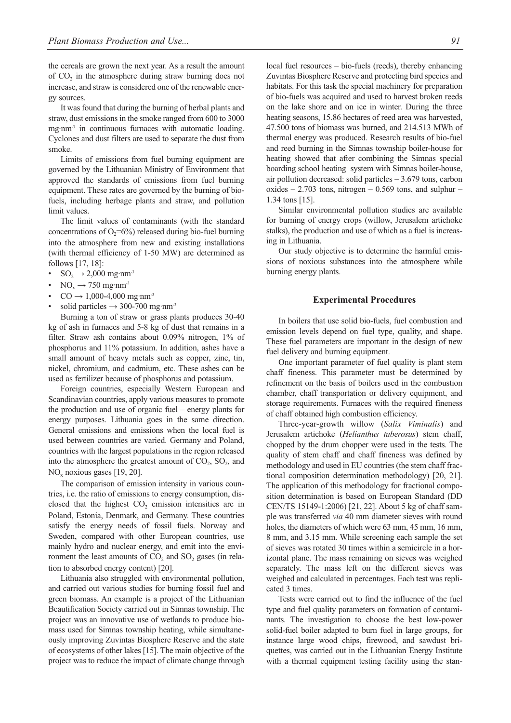the cereals are grown the next year. As a result the amount of  $CO<sub>2</sub>$  in the atmosphere during straw burning does not increase, and straw is considered one of the renewable energy sources.

It was found that during the burning of herbal plants and straw, dust emissions in the smoke ranged from 600 to 3000 mg·nm<sup>-3</sup> in continuous furnaces with automatic loading. Cyclones and dust filters are used to separate the dust from smoke.

Limits of emissions from fuel burning equipment are governed by the Lithuanian Ministry of Environment that approved the standards of emissions from fuel burning equipment. These rates are governed by the burning of biofuels, including herbage plants and straw, and pollution limit values.

The limit values of contaminants (with the standard concentrations of  $O_2$ =6%) released during bio-fuel burning into the atmosphere from new and existing installations (with thermal efficiency of 1-50 MW) are determined as follows [17, 18]:

- $SO_2 \rightarrow 2,000$  mg·nm<sup>-3</sup>
- $NO<sub>x</sub> \rightarrow 750$  mg·nm<sup>-3</sup>
- $CO \rightarrow 1,000-4,000$  mg·nm<sup>-3</sup>
- solid particles  $\rightarrow$  300-700 mg·nm<sup>-3</sup>

Burning a ton of straw or grass plants produces 30-40 kg of ash in furnaces and 5-8 kg of dust that remains in a filter. Straw ash contains about 0.09% nitrogen, 1% of phosphorus and 11% potassium. In addition, ashes have a small amount of heavy metals such as copper, zinc, tin, nickel, chromium, and cadmium, etc. These ashes can be used as fertilizer because of phosphorus and potassium.

Foreign countries, especially Western European and Scandinavian countries, apply various measures to promote the production and use of organic fuel – energy plants for energy purposes. Lithuania goes in the same direction. General emissions and emissions when the local fuel is used between countries are varied. Germany and Poland, countries with the largest populations in the region released into the atmosphere the greatest amount of  $CO<sub>2</sub>$ ,  $SO<sub>2</sub>$ , and  $NO<sub>x</sub>$  noxious gases [19, 20].

The comparison of emission intensity in various countries, i.e. the ratio of emissions to energy consumption, disclosed that the highest  $CO<sub>2</sub>$  emission intensities are in Poland, Estonia, Denmark, and Germany. These countries satisfy the energy needs of fossil fuels. Norway and Sweden, compared with other European countries, use mainly hydro and nuclear energy, and emit into the environment the least amounts of  $CO<sub>2</sub>$  and  $SO<sub>2</sub>$  gases (in relation to absorbed energy content) [20].

Lithuania also struggled with environmental pollution, and carried out various studies for burning fossil fuel and green biomass. An example is a project of the Lithuanian Beautification Society carried out in Simnas township. The project was an innovative use of wetlands to produce biomass used for Simnas township heating, while simultaneously improving Zuvintas Biosphere Reserve and the state of ecosystems of other lakes [15]. The main objective of the project was to reduce the impact of climate change through local fuel resources – bio-fuels (reeds), thereby enhancing Zuvintas Biosphere Reserve and protecting bird species and habitats. For this task the special machinery for preparation of bio-fuels was acquired and used to harvest broken reeds on the lake shore and on ice in winter. During the three heating seasons, 15.86 hectares of reed area was harvested, 47.500 tons of biomass was burned, and 214.513 MWh of thermal energy was produced. Research results of bio-fuel and reed burning in the Simnas township boiler-house for heating showed that after combining the Simnas special boarding school heating system with Simnas boiler-house, air pollution decreased: solid particles – 3.679 tons, carbon oxides  $-2.703$  tons, nitrogen  $-0.569$  tons, and sulphur  $-$ 1.34 tons [15].

Similar environmental pollution studies are available for burning of energy crops (willow, Jerusalem artichoke stalks), the production and use of which as a fuel is increasing in Lithuania.

Our study objective is to determine the harmful emissions of noxious substances into the atmosphere while burning energy plants.

#### **Experimental Procedures**

In boilers that use solid bio-fuels, fuel combustion and emission levels depend on fuel type, quality, and shape. These fuel parameters are important in the design of new fuel delivery and burning equipment.

One important parameter of fuel quality is plant stem chaff fineness. This parameter must be determined by refinement on the basis of boilers used in the combustion chamber, chaff transportation or delivery equipment, and storage requirements. Furnaces with the required fineness of chaff obtained high combustion efficiency.

Three-year-growth willow (*Salix Viminalis*) and Jerusalem artichoke (*Helianthus tuberosus*) stem chaff, chopped by the drum chopper were used in the tests. The quality of stem chaff and chaff fineness was defined by methodology and used in EU countries (the stem chaff fractional composition determination methodology) [20, 21]. The application of this methodology for fractional composition determination is based on European Standard (DD CEN/TS 15149-1:2006) [21, 22]. About 5 kg of chaff sample was transferred *via* 40 mm diameter sieves with round holes, the diameters of which were 63 mm, 45 mm, 16 mm, 8 mm, and 3.15 mm. While screening each sample the set of sieves was rotated 30 times within a semicircle in a horizontal plane. The mass remaining on sieves was weighed separately. The mass left on the different sieves was weighed and calculated in percentages. Each test was replicated 3 times.

Tests were carried out to find the influence of the fuel type and fuel quality parameters on formation of contaminants. The investigation to choose the best low-power solid-fuel boiler adapted to burn fuel in large groups, for instance large wood chips, firewood, and sawdust briquettes, was carried out in the Lithuanian Energy Institute with a thermal equipment testing facility using the stan-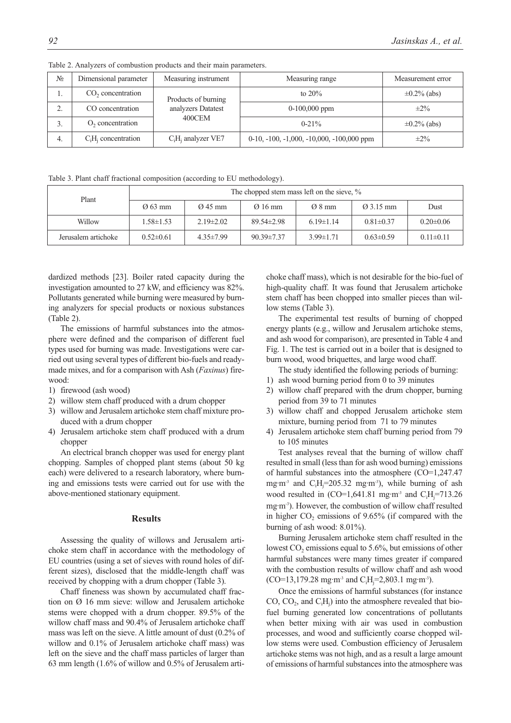| $N_2$                      | Dimensional parameter         | Measuring instrument            | Measuring range                             | Measurement error |
|----------------------------|-------------------------------|---------------------------------|---------------------------------------------|-------------------|
| ı.                         | CO <sub>2</sub> concentration | Products of burning             | to $20\%$                                   | $\pm 0.2\%$ (abs) |
| $\mathcal{L}$<br><u>L.</u> | CO concentration              | analyzers Datatest<br>$400$ CEM | $0-100,000$ ppm                             | $\pm 2\%$         |
| 3.                         | O <sub>2</sub> concentration  |                                 | $0 - 21\%$                                  | $\pm 0.2\%$ (abs) |
| 4.                         | $C_iH_i$ concentration        | $C_iH_i$ analyzer VE7           | $0-10, -100, -1,000, -10,000, -100,000$ ppm | $\pm 2\%$         |

Table 2. Analyzers of combustion products and their main parameters.

Table 3. Plant chaff fractional composition (according to EU methodology).

| Plant               | The chopped stem mass left on the sieve, % |                                            |                    |                       |                 |                 |
|---------------------|--------------------------------------------|--------------------------------------------|--------------------|-----------------------|-----------------|-----------------|
|                     | $\varnothing$ 63 mm                        | $\varnothing$ 45 mm<br>$\varnothing$ 16 mm | $\varnothing$ 8 mm | $\varnothing$ 3.15 mm | Dust            |                 |
| Willow              | $1.58 \pm 1.53$                            | $2.19\pm2.02$                              | $89.54 \pm 2.98$   | $6.19 \pm 1.14$       | $0.81 \pm 0.37$ | $0.20 \pm 0.06$ |
| Jerusalem artichoke | $0.52 \pm 0.61$                            | $4.35 \pm 7.99$                            | $90.39 \pm 7.37$   | $3.99 \pm 1.71$       | $0.63 \pm 0.59$ | $0.11 \pm 0.11$ |

dardized methods [23]. Boiler rated capacity during the investigation amounted to 27 kW, and efficiency was 82%. Pollutants generated while burning were measured by burning analyzers for special products or noxious substances (Table 2).

The emissions of harmful substances into the atmosphere were defined and the comparison of different fuel types used for burning was made. Investigations were carried out using several types of different bio-fuels and readymade mixes, and for a comparison with Ash (*Faxinus*) firewood:

- 1) firewood (ash wood)
- 2) willow stem chaff produced with a drum chopper
- 3) willow and Jerusalem artichoke stem chaff mixture produced with a drum chopper
- 4) Jerusalem artichoke stem chaff produced with a drum chopper

An electrical branch chopper was used for energy plant chopping. Samples of chopped plant stems (about 50 kg each) were delivered to a research laboratory, where burning and emissions tests were carried out for use with the above-mentioned stationary equipment.

#### **Results**

Assessing the quality of willows and Jerusalem artichoke stem chaff in accordance with the methodology of EU countries (using a set of sieves with round holes of different sizes), disclosed that the middle-length chaff was received by chopping with a drum chopper (Table 3).

Chaff fineness was shown by accumulated chaff fraction on Ø 16 mm sieve: willow and Jerusalem artichoke stems were chopped with a drum chopper. 89.5% of the willow chaff mass and 90.4% of Jerusalem artichoke chaff mass was left on the sieve. A little amount of dust (0.2% of willow and 0.1% of Jerusalem artichoke chaff mass) was left on the sieve and the chaff mass particles of larger than 63 mm length (1.6% of willow and 0.5% of Jerusalem artichoke chaff mass), which is not desirable for the bio-fuel of high-quality chaff. It was found that Jerusalem artichoke stem chaff has been chopped into smaller pieces than willow stems (Table 3).

The experimental test results of burning of chopped energy plants (e.g., willow and Jerusalem artichoke stems, and ash wood for comparison), are presented in Table 4 and Fig. 1. The test is carried out in a boiler that is designed to burn wood, wood briquettes, and large wood chaff.

The study identified the following periods of burning:

- 1) ash wood burning period from 0 to 39 minutes
- 2) willow chaff prepared with the drum chopper, burning period from 39 to 71 minutes
- 3) willow chaff and chopped Jerusalem artichoke stem mixture, burning period from 71 to 79 minutes
- 4) Jerusalem artichoke stem chaff burning period from 79 to 105 minutes

Test analyses reveal that the burning of willow chaff resulted in small (less than for ash wood burning) emissions of harmful substances into the atmosphere (CO=1,247.47 mg·m<sup>-3</sup> and  $C_iH_j$ =205.32 mg·m<sup>-3</sup>), while burning of ash wood resulted in  $(CO=1, 641.81$  mg·m<sup>-3</sup> and  $C_iH_j = 713.26$ mg·m<sup>-3</sup>). However, the combustion of willow chaff resulted in higher  $CO<sub>2</sub>$  emissions of 9.65% (if compared with the burning of ash wood: 8.01%).

Burning Jerusalem artichoke stem chaff resulted in the lowest  $CO<sub>2</sub>$  emissions equal to 5.6%, but emissions of other harmful substances were many times greater if compared with the combustion results of willow chaff and ash wood  $(CO=13,179.28 \text{ mg}\cdot\text{m}^3 \text{ and } C_iH_j=2,803.1 \text{ mg}\cdot\text{m}^3)$ .

Once the emissions of harmful substances (for instance CO,  $CO_2$ , and  $C_iH_j$ ) into the atmosphere revealed that biofuel burning generated low concentrations of pollutants when better mixing with air was used in combustion processes, and wood and sufficiently coarse chopped willow stems were used. Combustion efficiency of Jerusalem artichoke stems was not high, and as a result a large amount of emissions of harmful substances into the atmosphere was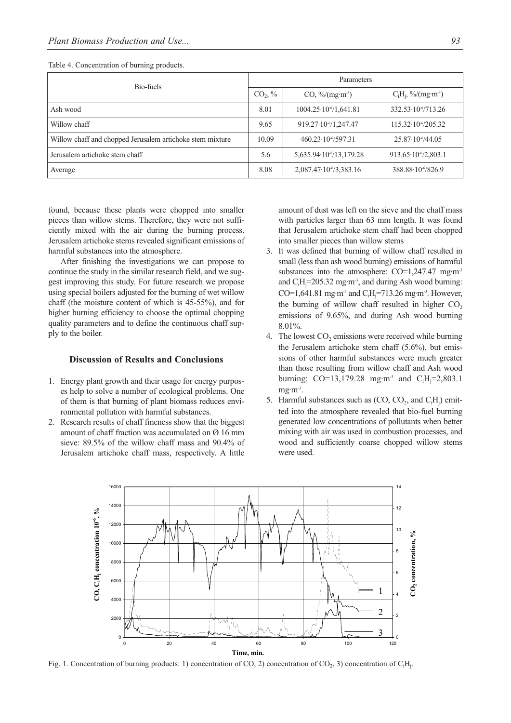| Bio-fuels                                                 |                     | Parameters                            |                                      |  |  |
|-----------------------------------------------------------|---------------------|---------------------------------------|--------------------------------------|--|--|
|                                                           | CO <sub>2</sub> , % | $CO, \%/(mg \cdot m^3)$               | $C_iH_i$ , %/(mg·m <sup>-3</sup> )   |  |  |
| Ash wood                                                  | 8.01                | $1004.25 \cdot 10 \cdot 641.81$       | $332.53 \cdot 10\frac{6}{713.26}$    |  |  |
| Willow chaff                                              | 9.65                | $919.27 \cdot 10\frac{6}{1}$ , 247.47 | $115.32 \cdot 10\frac{6}{205.32}$    |  |  |
| Willow chaff and chopped Jerusalem artichoke stem mixture | 10.09               | 460.23.10-6/597.31                    | $25.87 \cdot 10^{6}/44.05$           |  |  |
| Jerusalem artichoke stem chaff                            | 5.6                 | 5,635.94.10 <sup>-6</sup> /13,179.28  | $913.65 \cdot 10\frac{6}{2}$ , 803.1 |  |  |
| Average                                                   | 8.08                | $2,087.47 \cdot 10\frac{6}{3},383.16$ | 388.88.10-6/826.9                    |  |  |

Table 4. Concentration of burning products.

found, because these plants were chopped into smaller pieces than willow stems. Therefore, they were not sufficiently mixed with the air during the burning process. Jerusalem artichoke stems revealed significant emissions of harmful substances into the atmosphere.

After finishing the investigations we can propose to continue the study in the similar research field, and we suggest improving this study. For future research we propose using special boilers adjusted for the burning of wet willow chaff (the moisture content of which is 45-55%), and for higher burning efficiency to choose the optimal chopping quality parameters and to define the continuous chaff supply to the boiler.

#### **Discussion of Results and Conclusions**

- 1. Energy plant growth and their usage for energy purposes help to solve a number of ecological problems. One of them is that burning of plant biomass reduces environmental pollution with harmful substances.
- 2. Research results of chaff fineness show that the biggest amount of chaff fraction was accumulated on Ø 16 mm sieve: 89.5% of the willow chaff mass and 90.4% of Jerusalem artichoke chaff mass, respectively. A little

amount of dust was left on the sieve and the chaff mass with particles larger than 63 mm length. It was found that Jerusalem artichoke stem chaff had been chopped into smaller pieces than willow stems

- 3. It was defined that burning of willow chaff resulted in small (less than ash wood burning) emissions of harmful substances into the atmosphere:  $CO=1,247.47$  mg·m<sup>-3</sup> and  $C_iH_j = 205.32$  mg·m<sup>-3</sup>, and during Ash wood burning: CO=1,641.81 mg·m<sup>-3</sup> and C<sub>i</sub>H<sub>j</sub>=713.26 mg·m<sup>-3</sup>. However, the burning of willow chaff resulted in higher  $CO<sub>2</sub>$ emissions of 9.65%, and during Ash wood burning 8.01%.
- 4. The lowest  $CO<sub>2</sub>$  emissions were received while burning the Jerusalem artichoke stem chaff (5.6%), but emissions of other harmful substances were much greater than those resulting from willow chaff and Ash wood burning: CO=13,179.28 mg·m<sup>-3</sup> and C<sub>i</sub>H<sub>j</sub>=2,803.1  $mg·m<sup>-3</sup>$ .
- 5. Harmful substances such as  $(CO, CO_2$ , and  $C_iH_j$ ) emitted into the atmosphere revealed that bio-fuel burning generated low concentrations of pollutants when better mixing with air was used in combustion processes, and wood and sufficiently coarse chopped willow stems were used.



Fig. 1. Concentration of burning products: 1) concentration of CO, 2) concentration of CO<sub>2</sub>, 3) concentration of C<sub>i</sub>H<sub>j</sub>.